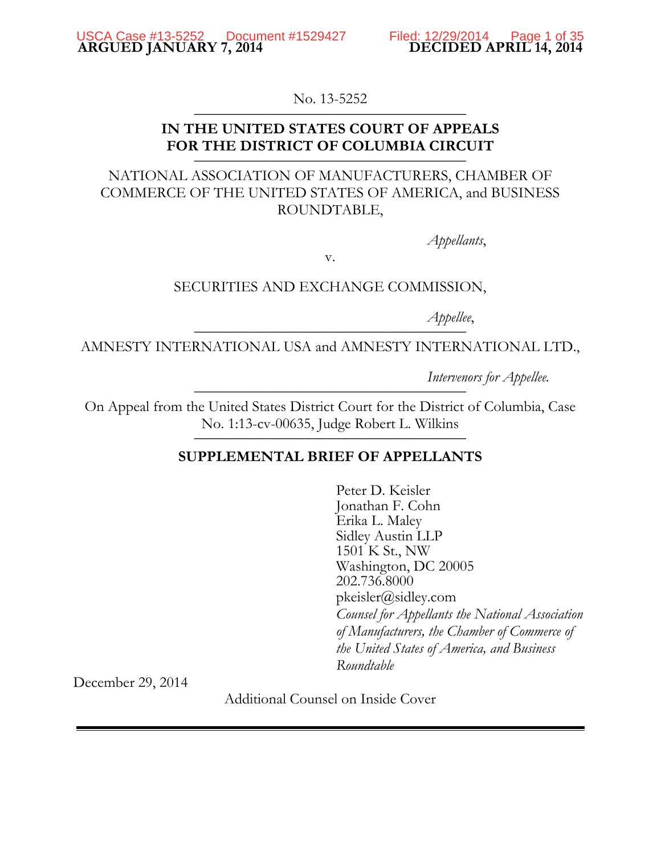No. 13-5252

## **IN THE UNITED STATES COURT OF APPEALS**  FOR THE DISTRICT OF COLUMBIA CIRCUIT

## NATIONAL ASSOCIATION OF MANUFACTURERS, CHAMBER OF COMMERCE OF THE UNITED STATES OF AMERICA, and BUSINESS ROUNDTABLE,

*Appellants*,

v.

## SECURITIES AND EXCHANGE COMMISSION,

*Appellee*,

AMNESTY INTERNATIONAL USA and AMNESTY INTERNATIONAL LTD.,

*Intervenors for Appellee.* 

On Appeal from the United States District Court for the District of Columbia, Case No. 1:13-cv-00635, Judge Robert L. Wilkins 10. 1.15 CV 00055, Judge Robert L. Winnip

## **SUPPLEMENTAL BRIEF OF APPELLANTS**

Peter D. Keisler Jonathan F. Cohn Erika L. Maley Sidley Austin LLP 1501 K St., NW Washington, DC 20005 202.736.8000 pkeisler@sidley.com *Counsel for Appellants the National Association of Manufacturers, the Chamber of Commerce of the United States of America, and Business Roundtable* 

December 29, 2014

Additional Counsel on Inside Cover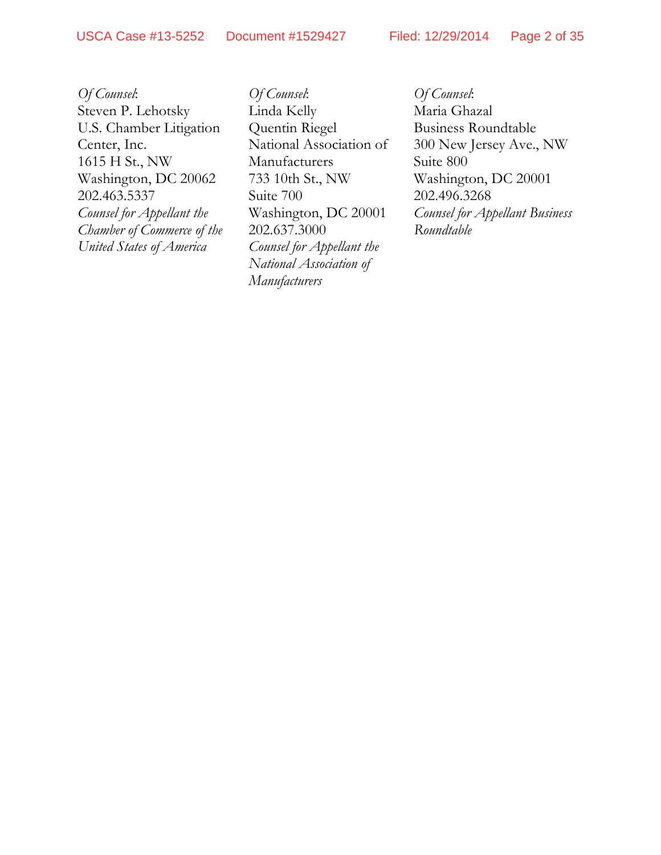*Of Counsel*: Steven P. Lehotsky U.S. Chamber Litigation Center, Inc. 1615 H St., NW Washington, DC 20062 202.463.5337 *Counsel for Appellant the Chamber of Commerce of the United States of America* 

*Of Counsel*: Linda Kelly Quentin Riegel National Association of Manufacturers 733 10th St., NW Suite 700 Washington, DC 20001 202.637.3000 *Counsel for Appellant the National Association of Manufacturers* 

*Of Counsel*: Maria Ghazal Business Roundtable 300 New Jersey Ave., NW Suite 800 Washington, DC 20001 202.496.3268 *Counsel for Appellant Business Roundtable*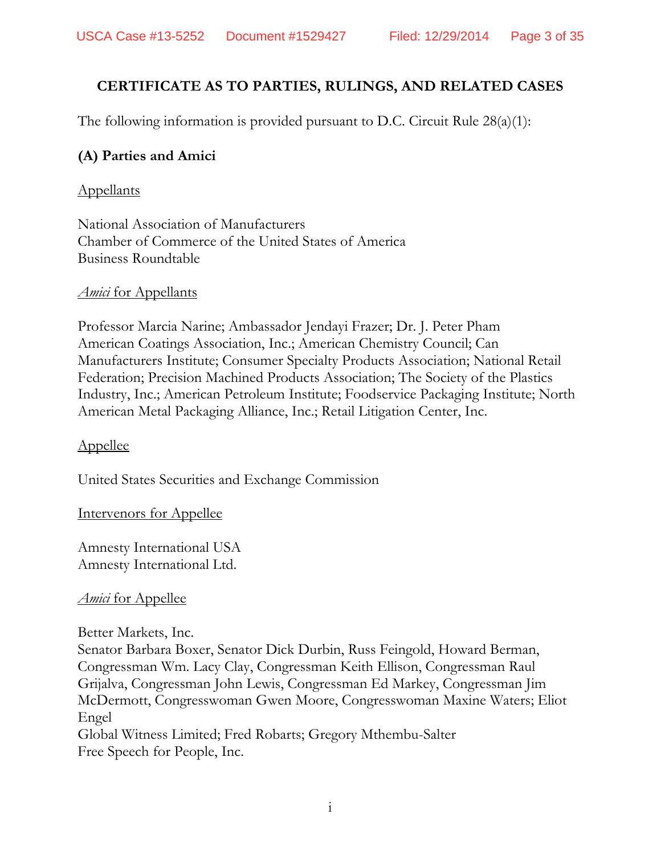# **CERTIFICATE AS TO PARTIES, RULINGS, AND RELATED CASES**

The following information is provided pursuant to D.C. Circuit Rule 28(a)(1):

# **(A) Parties and Amici**

## Appellants

National Association of Manufacturers Chamber of Commerce of the United States of America Business Roundtable

## *Amici* for Appellants

Professor Marcia Narine; Ambassador Jendayi Frazer; Dr. J. Peter Pham American Coatings Association, Inc.; American Chemistry Council; Can Manufacturers Institute; Consumer Specialty Products Association; National Retail Federation; Precision Machined Products Association; The Society of the Plastics Industry, Inc.; American Petroleum Institute; Foodservice Packaging Institute; North American Metal Packaging Alliance, Inc.; Retail Litigation Center, Inc.

## Appellee

United States Securities and Exchange Commission

## Intervenors for Appellee

Amnesty International USA Amnesty International Ltd.

## *Amici* for Appellee

Better Markets, Inc.

Senator Barbara Boxer, Senator Dick Durbin, Russ Feingold, Howard Berman, Congressman Wm. Lacy Clay, Congressman Keith Ellison, Congressman Raul Grijalva, Congressman John Lewis, Congressman Ed Markey, Congressman Jim McDermott, Congresswoman Gwen Moore, Congresswoman Maxine Waters; Eliot Engel Global Witness Limited; Fred Robarts; Gregory Mthembu-Salter

Free Speech for People, Inc.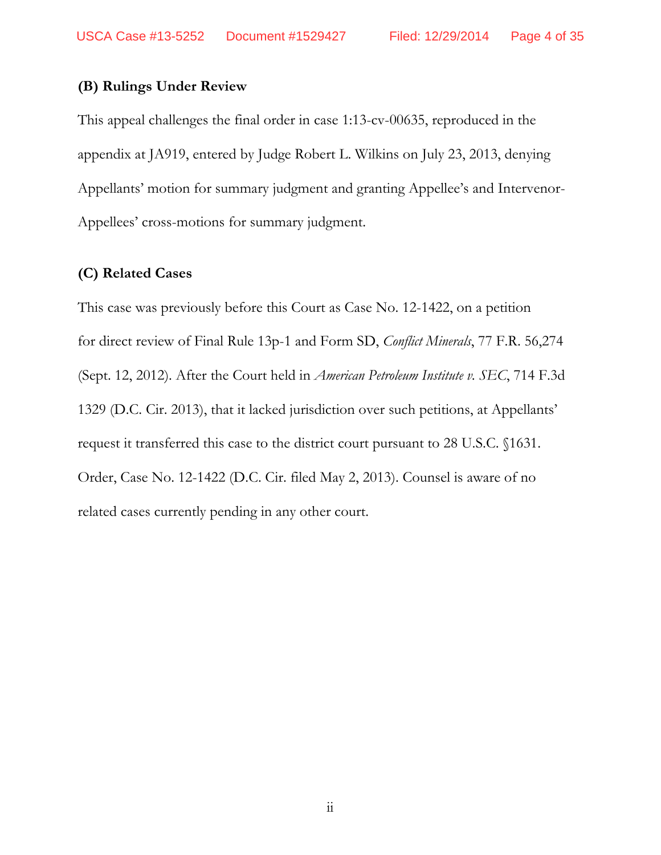## **(B) Rulings Under Review**

This appeal challenges the final order in case 1:13-cv-00635, reproduced in the appendix at JA919, entered by Judge Robert L. Wilkins on July 23, 2013, denying Appellants' motion for summary judgment and granting Appellee's and Intervenor-Appellees' cross-motions for summary judgment.

#### **(C) Related Cases**

This case was previously before this Court as Case No. 12-1422, on a petition for direct review of Final Rule 13p-1 and Form SD, *Conflict Minerals*, 77 F.R. 56,274 (Sept. 12, 2012). After the Court held in *American Petroleum Institute v. SEC*, 714 F.3d 1329 (D.C. Cir. 2013), that it lacked jurisdiction over such petitions, at Appellants' request it transferred this case to the district court pursuant to 28 U.S.C. §1631. Order, Case No. 12-1422 (D.C. Cir. filed May 2, 2013). Counsel is aware of no related cases currently pending in any other court.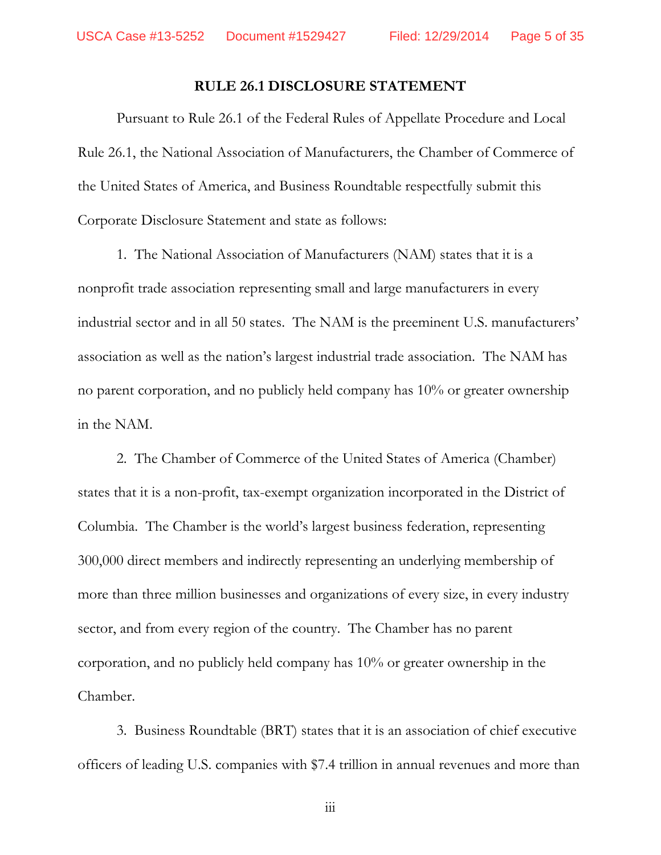#### **RULE 26.1 DISCLOSURE STATEMENT**

Pursuant to Rule 26.1 of the Federal Rules of Appellate Procedure and Local Rule 26.1, the National Association of Manufacturers, the Chamber of Commerce of the United States of America, and Business Roundtable respectfully submit this Corporate Disclosure Statement and state as follows:

1. The National Association of Manufacturers (NAM) states that it is a nonprofit trade association representing small and large manufacturers in every industrial sector and in all 50 states. The NAM is the preeminent U.S. manufacturers' association as well as the nation's largest industrial trade association. The NAM has no parent corporation, and no publicly held company has 10% or greater ownership in the NAM.

2. The Chamber of Commerce of the United States of America (Chamber) states that it is a non-profit, tax-exempt organization incorporated in the District of Columbia. The Chamber is the world's largest business federation, representing 300,000 direct members and indirectly representing an underlying membership of more than three million businesses and organizations of every size, in every industry sector, and from every region of the country. The Chamber has no parent corporation, and no publicly held company has 10% or greater ownership in the Chamber.

3. Business Roundtable (BRT) states that it is an association of chief executive officers of leading U.S. companies with \$7.4 trillion in annual revenues and more than

iii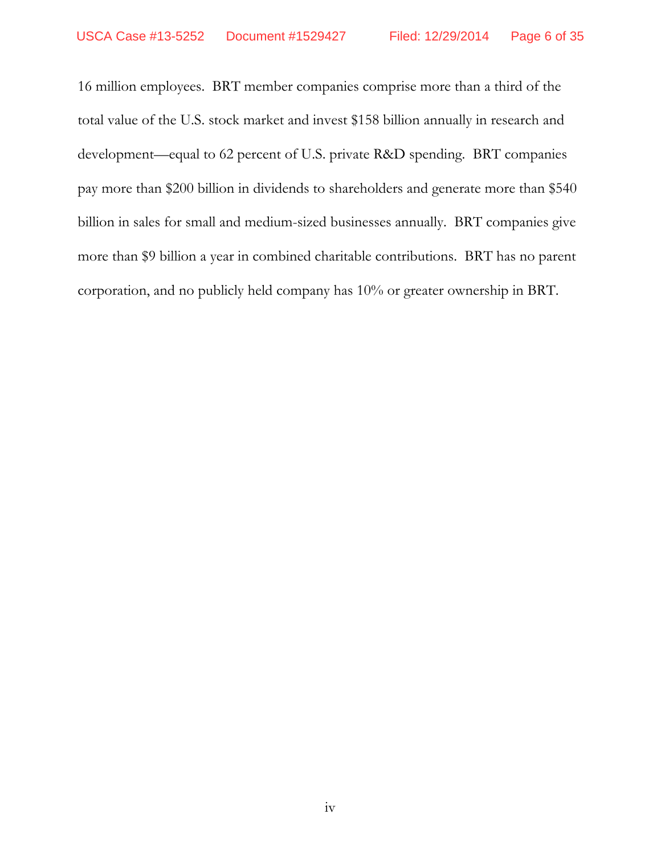16 million employees. BRT member companies comprise more than a third of the total value of the U.S. stock market and invest \$158 billion annually in research and development—equal to 62 percent of U.S. private R&D spending. BRT companies pay more than \$200 billion in dividends to shareholders and generate more than \$540 billion in sales for small and medium-sized businesses annually. BRT companies give more than \$9 billion a year in combined charitable contributions. BRT has no parent corporation, and no publicly held company has 10% or greater ownership in BRT.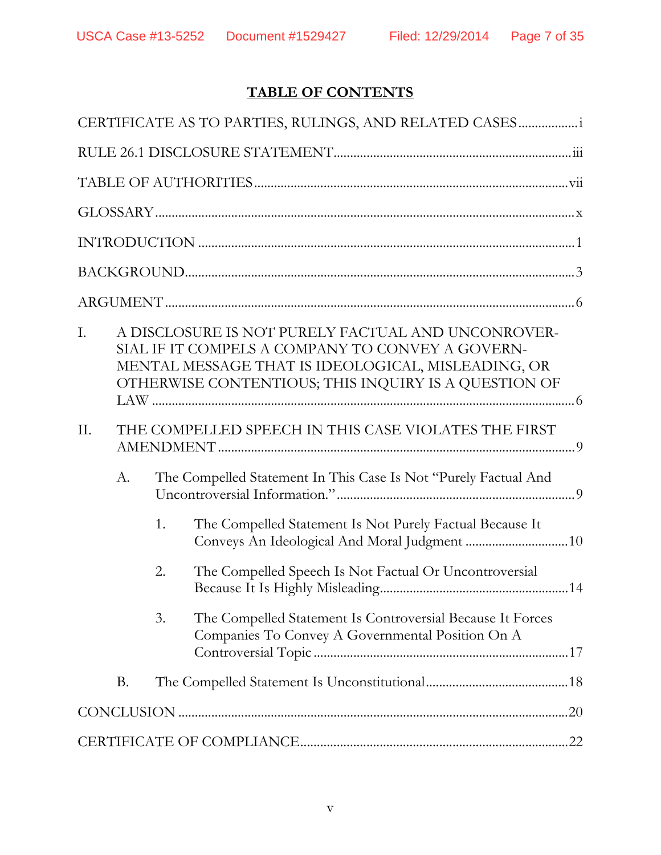# **TABLE OF CONTENTS**

| CERTIFICATE AS TO PARTIES, RULINGS, AND RELATED CASES       |    |                                                                                                                                                                                                                      |                                                                                                                |  |  |  |  |
|-------------------------------------------------------------|----|----------------------------------------------------------------------------------------------------------------------------------------------------------------------------------------------------------------------|----------------------------------------------------------------------------------------------------------------|--|--|--|--|
|                                                             |    |                                                                                                                                                                                                                      |                                                                                                                |  |  |  |  |
|                                                             |    |                                                                                                                                                                                                                      |                                                                                                                |  |  |  |  |
|                                                             |    |                                                                                                                                                                                                                      |                                                                                                                |  |  |  |  |
|                                                             |    |                                                                                                                                                                                                                      |                                                                                                                |  |  |  |  |
|                                                             |    |                                                                                                                                                                                                                      |                                                                                                                |  |  |  |  |
|                                                             |    |                                                                                                                                                                                                                      |                                                                                                                |  |  |  |  |
| I.                                                          |    | A DISCLOSURE IS NOT PURELY FACTUAL AND UNCONROVER-<br>SIAL IF IT COMPELS A COMPANY TO CONVEY A GOVERN-<br>MENTAL MESSAGE THAT IS IDEOLOGICAL, MISLEADING, OR<br>OTHERWISE CONTENTIOUS; THIS INQUIRY IS A QUESTION OF |                                                                                                                |  |  |  |  |
| THE COMPELLED SPEECH IN THIS CASE VIOLATES THE FIRST<br>II. |    |                                                                                                                                                                                                                      |                                                                                                                |  |  |  |  |
|                                                             | A. | The Compelled Statement In This Case Is Not "Purely Factual And                                                                                                                                                      |                                                                                                                |  |  |  |  |
|                                                             |    | 1.                                                                                                                                                                                                                   | The Compelled Statement Is Not Purely Factual Because It                                                       |  |  |  |  |
|                                                             |    | 2.                                                                                                                                                                                                                   | The Compelled Speech Is Not Factual Or Uncontroversial                                                         |  |  |  |  |
|                                                             |    | 3.                                                                                                                                                                                                                   | The Compelled Statement Is Controversial Because It Forces<br>Companies To Convey A Governmental Position On A |  |  |  |  |
|                                                             | B. |                                                                                                                                                                                                                      |                                                                                                                |  |  |  |  |
|                                                             |    |                                                                                                                                                                                                                      |                                                                                                                |  |  |  |  |
|                                                             |    |                                                                                                                                                                                                                      |                                                                                                                |  |  |  |  |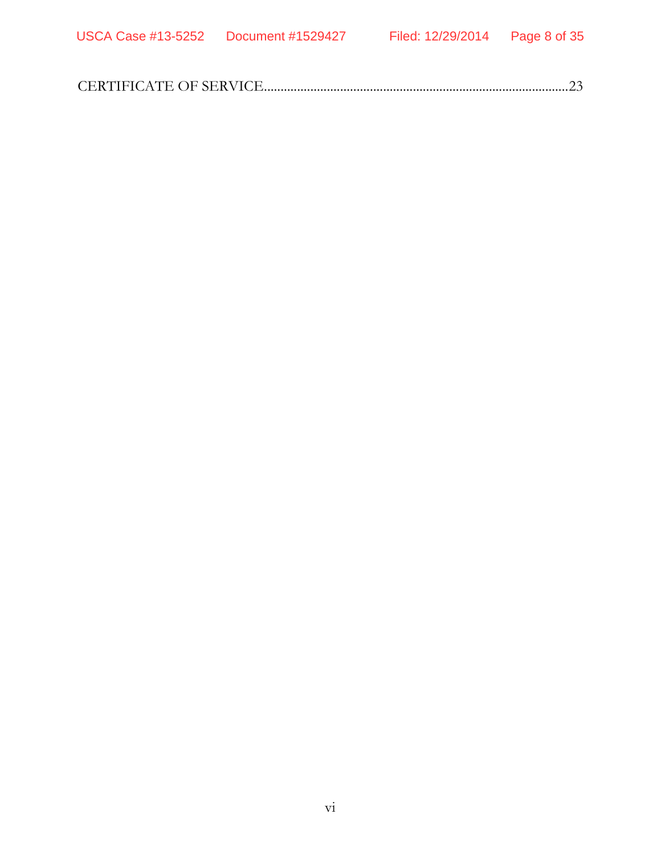|--|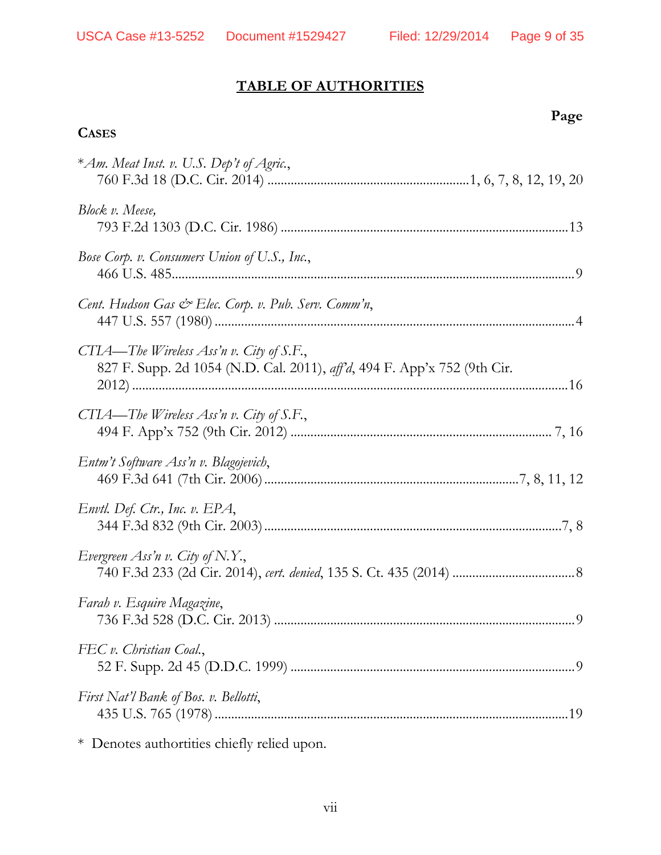# **TABLE OF AUTHORITIES**

 **Page** 

# **CASES**

| *Am. Meat Inst. v. U.S. Dep't of Agric.,                                                                             |
|----------------------------------------------------------------------------------------------------------------------|
| Block v. Meese,                                                                                                      |
| Bose Corp. v. Consumers Union of U.S., Inc.,                                                                         |
| Cent. Hudson Gas & Elec. Corp. v. Pub. Serv. Comm'n,                                                                 |
| CTIA—The Wireless Ass'n v. City of S.F.,<br>827 F. Supp. 2d 1054 (N.D. Cal. 2011), aff'd, 494 F. App'x 752 (9th Cir. |
| CTIA—The Wireless Ass'n v. City of S.F.,                                                                             |
| Entm't Software Ass'n v. Blagojevich,                                                                                |
| Envtl. Def. Ctr., Inc. v. EPA,                                                                                       |
| Evergreen Ass'n v. City of N.Y.,                                                                                     |
| Farah v. Esquire Magazine,                                                                                           |
| FEC v. Christian Coal.,                                                                                              |
| First Nat'l Bank of Bos. v. Bellotti,                                                                                |
|                                                                                                                      |

\* Denotes authortities chiefly relied upon.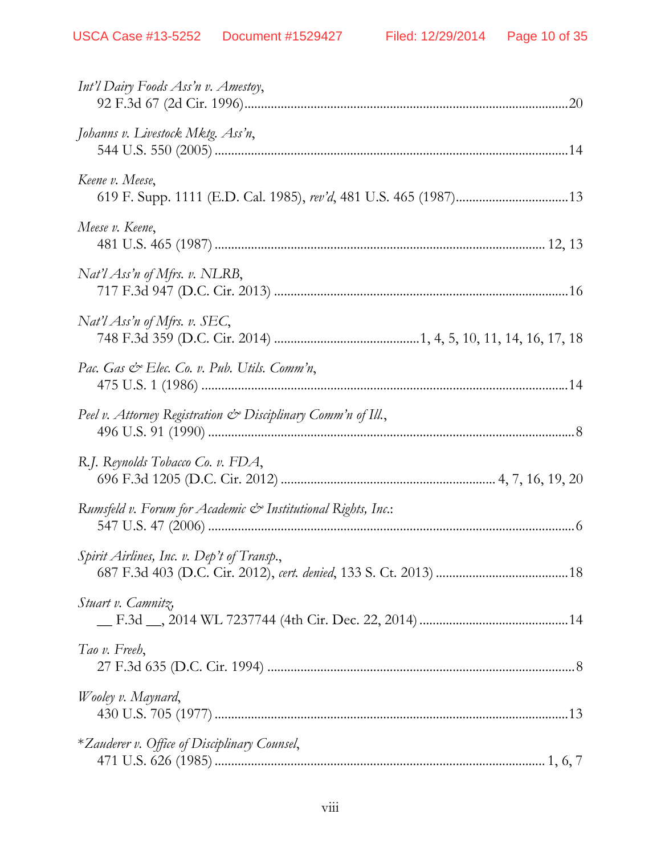| Int'l Dairy Foods Ass'n v. Amestoy,                          |
|--------------------------------------------------------------|
| Johanns v. Livestock Mktg. Ass'n,                            |
| Keene v. Meese,                                              |
| Meese v. Keene,                                              |
| $Nat'l$ Ass'n of Mfrs. v. NLRB,                              |
| Nat'l Ass'n of Mfrs. v. SEC,                                 |
| Pac. Gas & Elec. Co. v. Pub. Utils. Comm'n,                  |
| Peel v. Attorney Registration & Disciplinary Comm'n of Ill., |
| R.J. Reynolds Tobacco Co. v. FDA,                            |
| Rumsfeld v. Forum for Academic & Institutional Rights, Inc.: |
| Spirit Airlines, Inc. v. Dep't of Transp.,                   |
| Stuart v. Camnitz,                                           |
| Tao v. Freeh,                                                |
| Wooley v. Maynard,                                           |
| *Zauderer v. Office of Disciplinary Counsel,                 |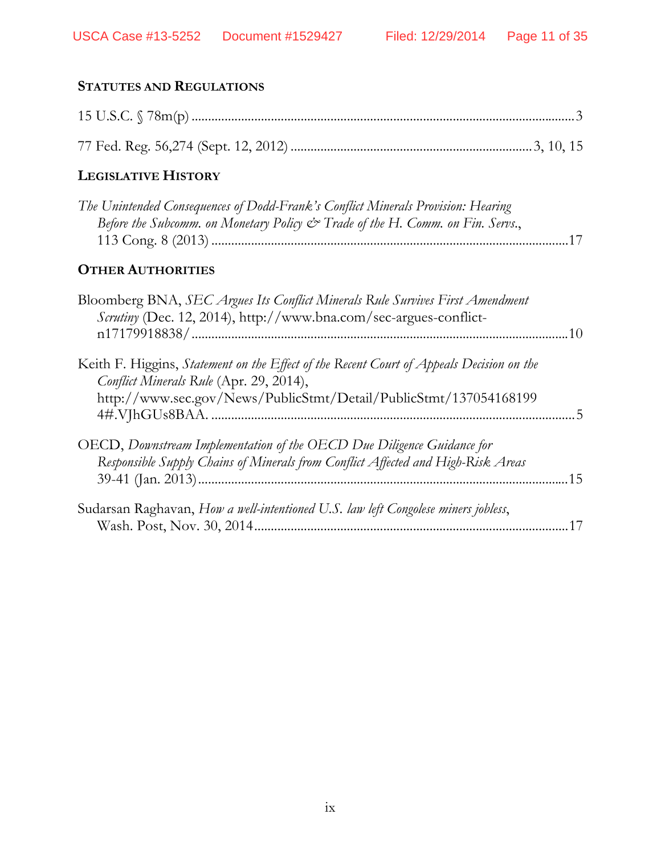| <b>STATUTES AND REGULATIONS</b>                                                                                                                                                                          |
|----------------------------------------------------------------------------------------------------------------------------------------------------------------------------------------------------------|
|                                                                                                                                                                                                          |
|                                                                                                                                                                                                          |
| <b>LEGISLATIVE HISTORY</b>                                                                                                                                                                               |
| The Unintended Consequences of Dodd-Frank's Conflict Minerals Provision: Hearing<br>Before the Subcomm. on Monetary Policy & Trade of the H. Comm. on Fin. Servs.,                                       |
| <b>OTHER AUTHORITIES</b>                                                                                                                                                                                 |
| Bloomberg BNA, SEC Argues Its Conflict Minerals Rule Survives First Amendment<br>Scrutiny (Dec. 12, 2014), http://www.bna.com/sec-argues-conflict-                                                       |
| Keith F. Higgins, Statement on the Effect of the Recent Court of Appeals Decision on the<br>Conflict Minerals Rule (Apr. 29, 2014),<br>http://www.sec.gov/News/PublicStmt/Detail/PublicStmt/137054168199 |
| OECD, Downstream Implementation of the OECD Due Diligence Guidance for<br>Responsible Supply Chains of Minerals from Conflict Affected and High-Risk Areas                                               |
| Sudarsan Raghavan, How a well-intentioned U.S. law left Congolese miners jobless,                                                                                                                        |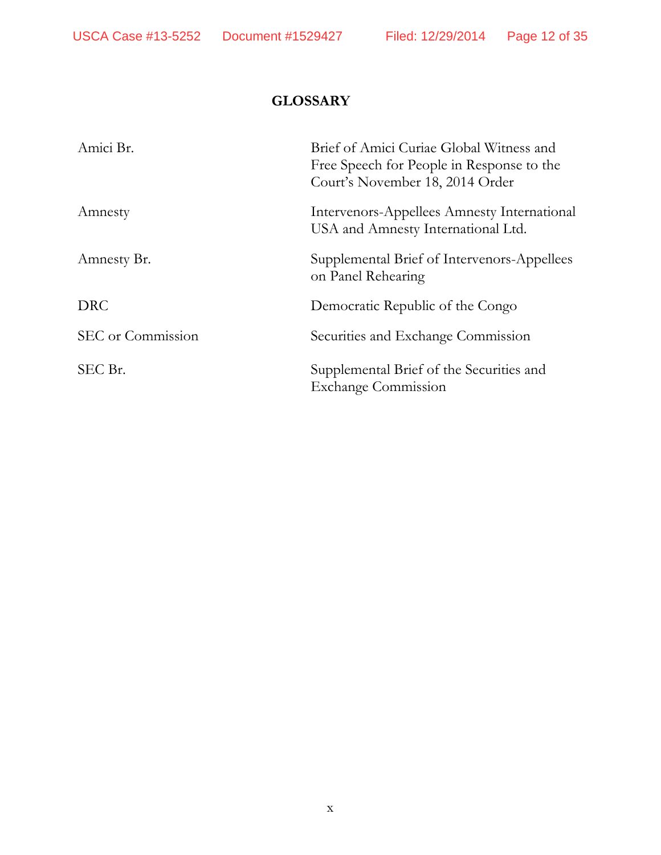# **GLOSSARY**

| Amici Br.         | Brief of Amici Curiae Global Witness and<br>Free Speech for People in Response to the<br>Court's November 18, 2014 Order |
|-------------------|--------------------------------------------------------------------------------------------------------------------------|
| Amnesty           | Intervenors-Appellees Amnesty International<br>USA and Amnesty International Ltd.                                        |
| Amnesty Br.       | Supplemental Brief of Intervenors-Appellees<br>on Panel Rehearing                                                        |
| <b>DRC</b>        | Democratic Republic of the Congo                                                                                         |
| SEC or Commission | Securities and Exchange Commission                                                                                       |
| SEC Br.           | Supplemental Brief of the Securities and<br><b>Exchange Commission</b>                                                   |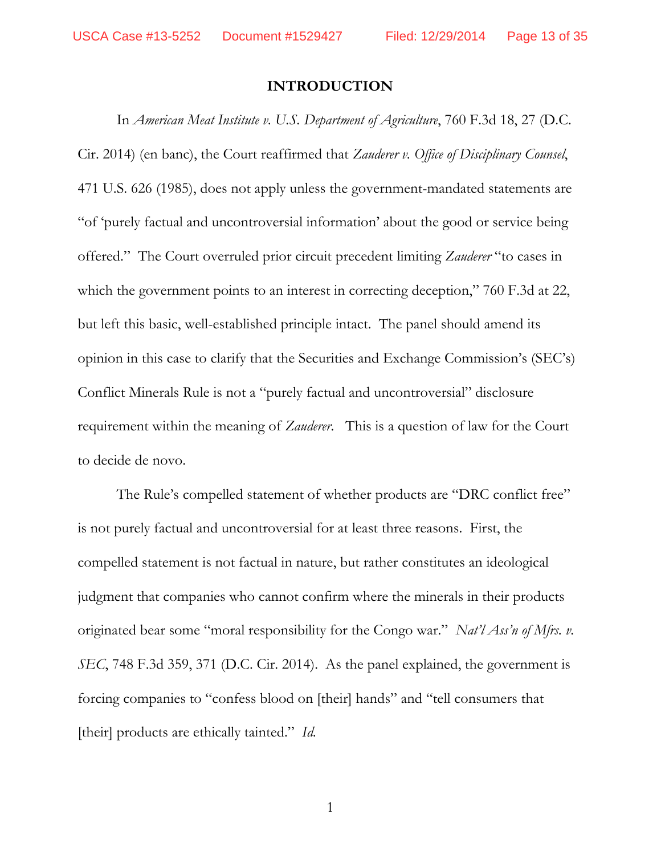#### **INTRODUCTION**

In *American Meat Institute v. U.S. Department of Agriculture*, 760 F.3d 18, 27 (D.C. Cir. 2014) (en banc), the Court reaffirmed that *Zauderer v. Office of Disciplinary Counsel*, 471 U.S. 626 (1985), does not apply unless the government-mandated statements are "of 'purely factual and uncontroversial information' about the good or service being offered." The Court overruled prior circuit precedent limiting *Zauderer* "to cases in which the government points to an interest in correcting deception," 760 F.3d at 22, but left this basic, well-established principle intact. The panel should amend its opinion in this case to clarify that the Securities and Exchange Commission's (SEC's) Conflict Minerals Rule is not a "purely factual and uncontroversial" disclosure requirement within the meaning of *Zauderer*. This is a question of law for the Court to decide de novo.

The Rule's compelled statement of whether products are "DRC conflict free" is not purely factual and uncontroversial for at least three reasons. First, the compelled statement is not factual in nature, but rather constitutes an ideological judgment that companies who cannot confirm where the minerals in their products originated bear some "moral responsibility for the Congo war." *Nat'l Ass'n of Mfrs. v. SEC*, 748 F.3d 359, 371 (D.C. Cir. 2014).As the panel explained, the government is forcing companies to "confess blood on [their] hands" and "tell consumers that [their] products are ethically tainted." *Id.*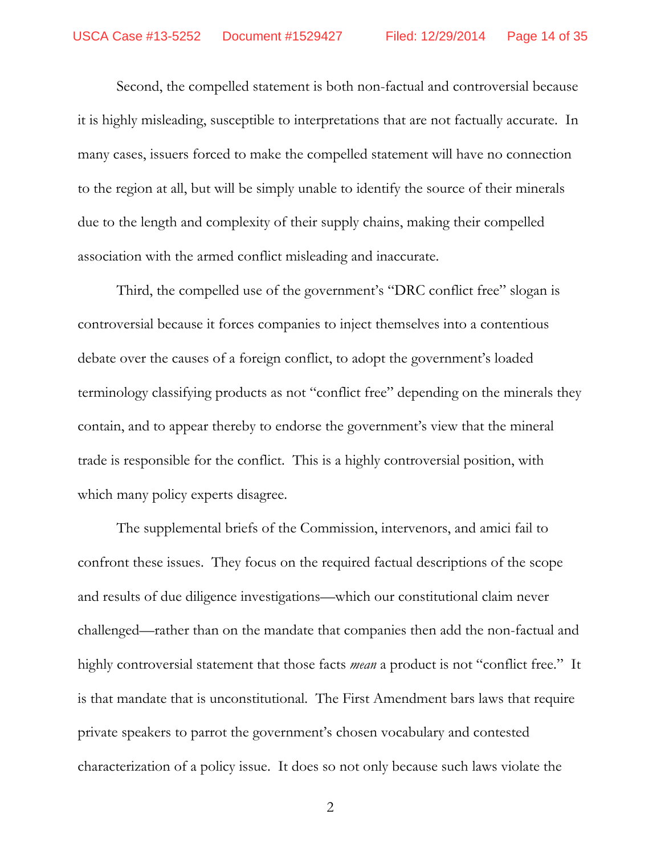Second, the compelled statement is both non-factual and controversial because it is highly misleading, susceptible to interpretations that are not factually accurate. In many cases, issuers forced to make the compelled statement will have no connection to the region at all, but will be simply unable to identify the source of their minerals due to the length and complexity of their supply chains, making their compelled association with the armed conflict misleading and inaccurate.

Third, the compelled use of the government's "DRC conflict free" slogan is controversial because it forces companies to inject themselves into a contentious debate over the causes of a foreign conflict, to adopt the government's loaded terminology classifying products as not "conflict free" depending on the minerals they contain, and to appear thereby to endorse the government's view that the mineral trade is responsible for the conflict. This is a highly controversial position, with which many policy experts disagree.

The supplemental briefs of the Commission, intervenors, and amici fail to confront these issues. They focus on the required factual descriptions of the scope and results of due diligence investigations—which our constitutional claim never challenged—rather than on the mandate that companies then add the non-factual and highly controversial statement that those facts *mean* a product is not "conflict free." It is that mandate that is unconstitutional. The First Amendment bars laws that require private speakers to parrot the government's chosen vocabulary and contested characterization of a policy issue. It does so not only because such laws violate the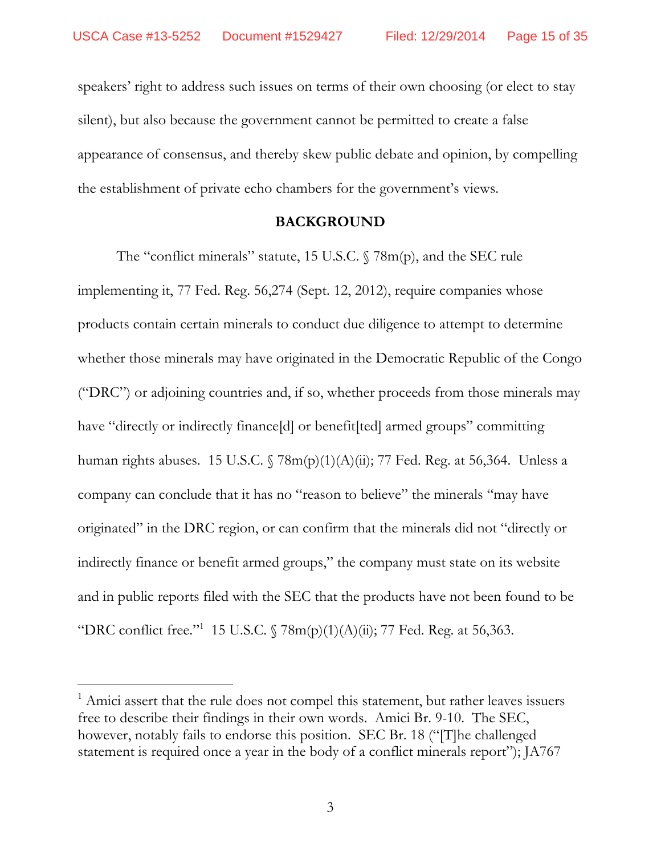speakers' right to address such issues on terms of their own choosing (or elect to stay silent), but also because the government cannot be permitted to create a false appearance of consensus, and thereby skew public debate and opinion, by compelling the establishment of private echo chambers for the government's views.

#### **BACKGROUND**

The "conflict minerals" statute, 15 U.S.C. § 78m(p), and the SEC rule implementing it, 77 Fed. Reg. 56,274 (Sept. 12, 2012), require companies whose products contain certain minerals to conduct due diligence to attempt to determine whether those minerals may have originated in the Democratic Republic of the Congo ("DRC") or adjoining countries and, if so, whether proceeds from those minerals may have "directly or indirectly finance[d] or benefit[ted] armed groups" committing human rights abuses. 15 U.S.C.  $\sqrt{78m(p)(1)(A)(ii)}$ ; 77 Fed. Reg. at 56,364. Unless a company can conclude that it has no "reason to believe" the minerals "may have originated" in the DRC region, or can confirm that the minerals did not "directly or indirectly finance or benefit armed groups," the company must state on its website and in public reports filed with the SEC that the products have not been found to be "DRC conflict free."<sup>1</sup> 15 U.S.C.  $\sqrt{78m(p)(1)(A)(ii)}$ ; 77 Fed. Reg. at 56,363.

 $\overline{a}$ 

<sup>&</sup>lt;sup>1</sup> Amici assert that the rule does not compel this statement, but rather leaves issuers free to describe their findings in their own words. Amici Br. 9-10. The SEC, however, notably fails to endorse this position. SEC Br. 18 ("[T]he challenged statement is required once a year in the body of a conflict minerals report"); JA767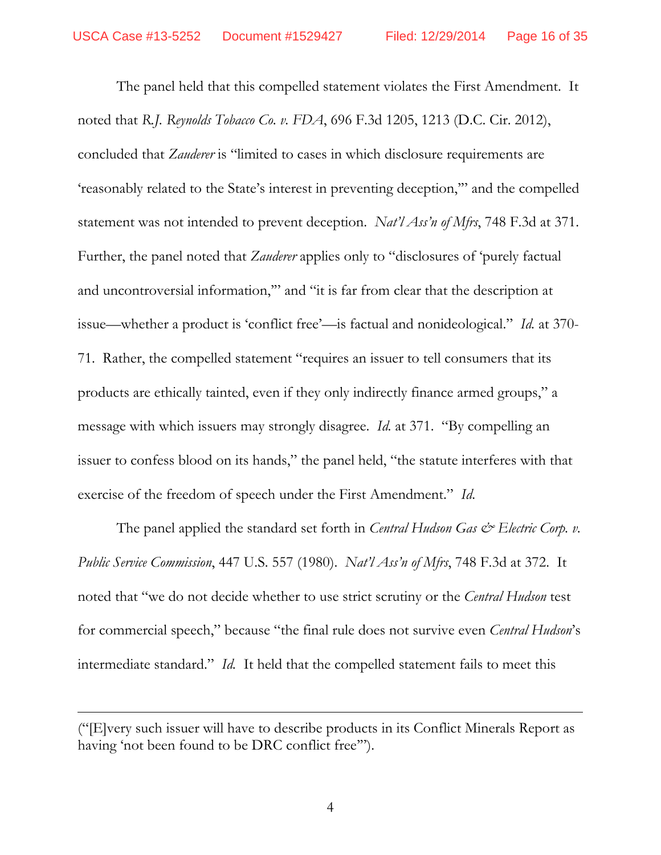The panel held that this compelled statement violates the First Amendment. It noted that *R.J. Reynolds Tobacco Co. v. FDA*, 696 F.3d 1205, 1213 (D.C. Cir. 2012), concluded that *Zauderer* is "limited to cases in which disclosure requirements are 'reasonably related to the State's interest in preventing deception,'" and the compelled statement was not intended to prevent deception. *Nat'l Ass'n of Mfrs*, 748 F.3d at 371. Further, the panel noted that *Zauderer* applies only to "disclosures of 'purely factual and uncontroversial information,'" and "it is far from clear that the description at issue—whether a product is 'conflict free'—is factual and nonideological." *Id.* at 370- 71. Rather, the compelled statement "requires an issuer to tell consumers that its products are ethically tainted, even if they only indirectly finance armed groups," a message with which issuers may strongly disagree. *Id.* at 371. "By compelling an issuer to confess blood on its hands," the panel held, "the statute interferes with that exercise of the freedom of speech under the First Amendment." *Id*.

The panel applied the standard set forth in *Central Hudson Gas & Electric Corp. v. Public Service Commission*, 447 U.S. 557 (1980). *Nat'l Ass'n of Mfrs*, 748 F.3d at 372. It noted that "we do not decide whether to use strict scrutiny or the *Central Hudson* test for commercial speech," because "the final rule does not survive even *Central Hudson*'s intermediate standard." *Id.* It held that the compelled statement fails to meet this

 $\overline{a}$ 

<sup>(&</sup>quot;[E]very such issuer will have to describe products in its Conflict Minerals Report as having 'not been found to be DRC conflict free"".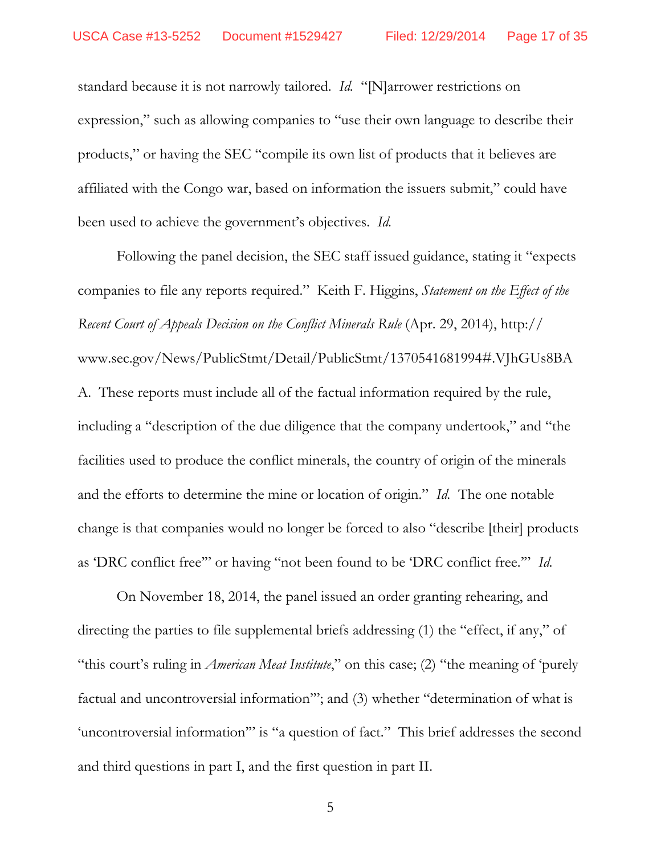standard because it is not narrowly tailored. *Id.* "[N]arrower restrictions on expression," such as allowing companies to "use their own language to describe their products," or having the SEC "compile its own list of products that it believes are affiliated with the Congo war, based on information the issuers submit," could have been used to achieve the government's objectives. *Id.*

 Following the panel decision, the SEC staff issued guidance, stating it "expects companies to file any reports required." Keith F. Higgins, *Statement on the Effect of the Recent Court of Appeals Decision on the Conflict Minerals Rule* (Apr. 29, 2014), http:// www.sec.gov/News/PublicStmt/Detail/PublicStmt/1370541681994#.VJhGUs8BA A. These reports must include all of the factual information required by the rule, including a "description of the due diligence that the company undertook," and "the facilities used to produce the conflict minerals, the country of origin of the minerals and the efforts to determine the mine or location of origin." *Id.* The one notable change is that companies would no longer be forced to also "describe [their] products as 'DRC conflict free'" or having "not been found to be 'DRC conflict free.'" *Id.* 

 On November 18, 2014, the panel issued an order granting rehearing, and directing the parties to file supplemental briefs addressing (1) the "effect, if any," of "this court's ruling in *American Meat Institute*," on this case; (2) "the meaning of 'purely factual and uncontroversial information'"; and (3) whether "determination of what is 'uncontroversial information'" is "a question of fact." This brief addresses the second and third questions in part I, and the first question in part II.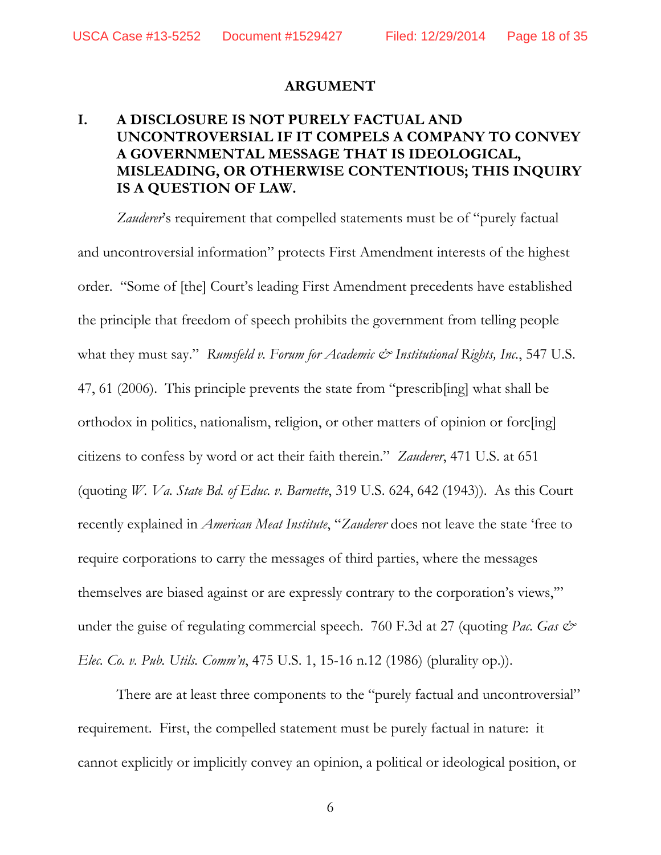#### **ARGUMENT**

## **I. A DISCLOSURE IS NOT PURELY FACTUAL AND UNCONTROVERSIAL IF IT COMPELS A COMPANY TO CONVEY A GOVERNMENTAL MESSAGE THAT IS IDEOLOGICAL, MISLEADING, OR OTHERWISE CONTENTIOUS; THIS INQUIRY IS A QUESTION OF LAW.**

Zauderer's requirement that compelled statements must be of "purely factual and uncontroversial information" protects First Amendment interests of the highest order. "Some of [the] Court's leading First Amendment precedents have established the principle that freedom of speech prohibits the government from telling people what they must say." *Rumsfeld v. Forum for Academic & Institutional Rights, Inc.*, 547 U.S. 47, 61 (2006). This principle prevents the state from "prescrib[ing] what shall be orthodox in politics, nationalism, religion, or other matters of opinion or forc[ing] citizens to confess by word or act their faith therein." *Zauderer*, 471 U.S. at 651 (quoting *W. Va. State Bd. of Educ. v. Barnette*, 319 U.S. 624, 642 (1943)). As this Court recently explained in *American Meat Institute*, "*Zauderer* does not leave the state 'free to require corporations to carry the messages of third parties, where the messages themselves are biased against or are expressly contrary to the corporation's views,'" under the guise of regulating commercial speech. 760 F.3d at 27 (quoting *Pac. Gas*  $\mathcal{Q}^*$ *Elec. Co. v. Pub. Utils. Comm'n*, 475 U.S. 1, 15-16 n.12 (1986) (plurality op.)).

There are at least three components to the "purely factual and uncontroversial" requirement. First, the compelled statement must be purely factual in nature: it cannot explicitly or implicitly convey an opinion, a political or ideological position, or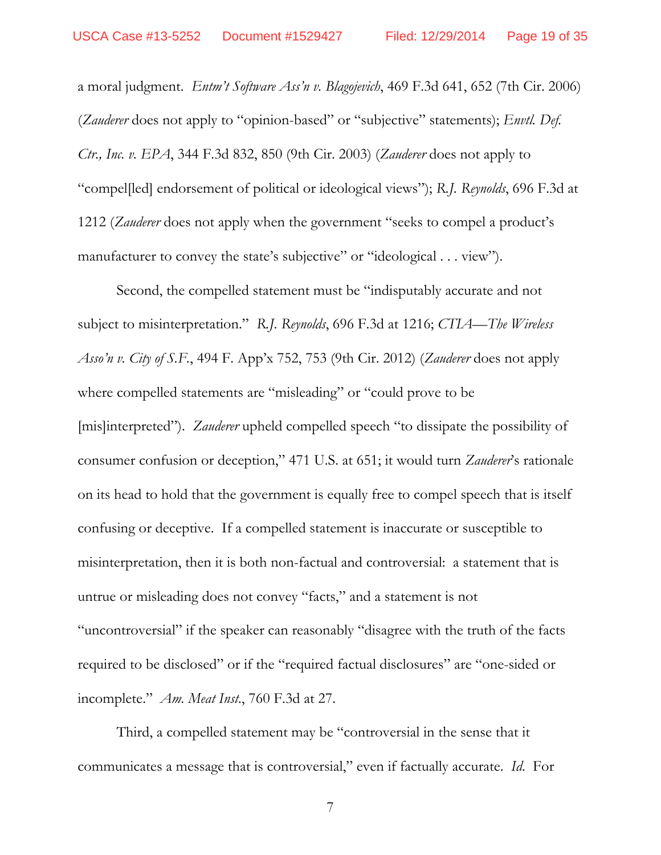a moral judgment. *Entm't Software Ass'n v. Blagojevich*, 469 F.3d 641, 652 (7th Cir. 2006) (*Zauderer* does not apply to "opinion-based" or "subjective" statements); *Envtl. Def. Ctr., Inc. v. EPA*, 344 F.3d 832, 850 (9th Cir. 2003) (*Zauderer* does not apply to "compel[led] endorsement of political or ideological views"); *R.J. Reynolds*, 696 F.3d at 1212 (*Zauderer* does not apply when the government "seeks to compel a product's manufacturer to convey the state's subjective" or "ideological . . . view").

 Second, the compelled statement must be "indisputably accurate and not subject to misinterpretation." *R.J. Reynolds*, 696 F.3d at 1216; *CTIA—The Wireless Asso'n v. City of S.F.*, 494 F. App'x 752, 753 (9th Cir. 2012) (*Zauderer* does not apply where compelled statements are "misleading" or "could prove to be [mis]interpreted"). *Zauderer* upheld compelled speech "to dissipate the possibility of consumer confusion or deception," 471 U.S. at 651; it would turn *Zauderer*'s rationale on its head to hold that the government is equally free to compel speech that is itself confusing or deceptive. If a compelled statement is inaccurate or susceptible to misinterpretation, then it is both non-factual and controversial: a statement that is untrue or misleading does not convey "facts," and a statement is not "uncontroversial" if the speaker can reasonably "disagree with the truth of the facts required to be disclosed" or if the "required factual disclosures" are "one-sided or incomplete." *Am. Meat Inst*., 760 F.3d at 27.

 Third, a compelled statement may be "controversial in the sense that it communicates a message that is controversial," even if factually accurate. *Id*. For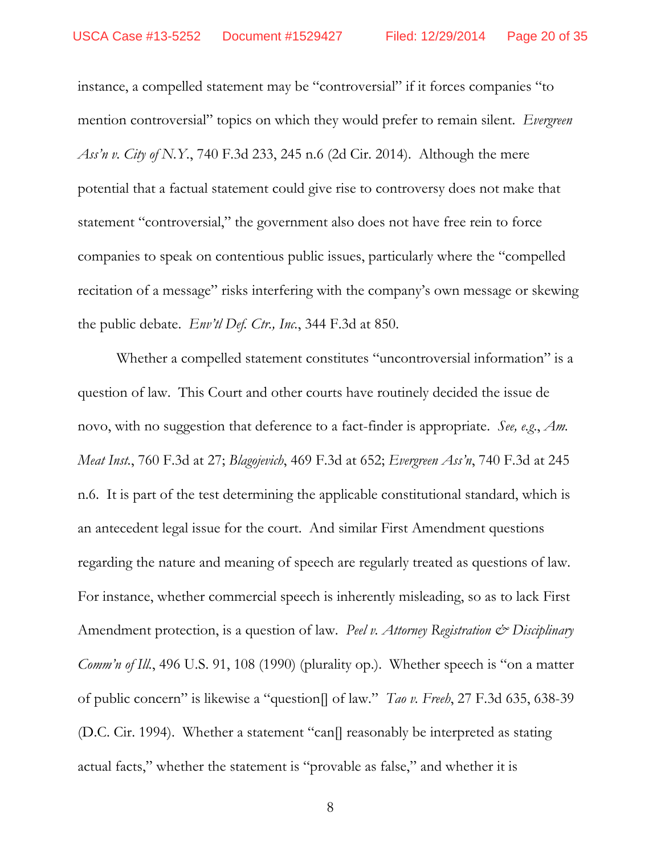instance, a compelled statement may be "controversial" if it forces companies "to mention controversial" topics on which they would prefer to remain silent. *Evergreen Ass'n v. City of N.Y.*, 740 F.3d 233, 245 n.6 (2d Cir. 2014). Although the mere potential that a factual statement could give rise to controversy does not make that statement "controversial," the government also does not have free rein to force companies to speak on contentious public issues, particularly where the "compelled recitation of a message" risks interfering with the company's own message or skewing the public debate. *Env'tl Def. Ctr., Inc.*, 344 F.3d at 850.

 Whether a compelled statement constitutes "uncontroversial information" is a question of law. This Court and other courts have routinely decided the issue de novo, with no suggestion that deference to a fact-finder is appropriate. *See, e.g*., *Am. Meat Inst.*, 760 F.3d at 27; *Blagojevich*, 469 F.3d at 652; *Evergreen Ass'n*, 740 F.3d at 245 n.6. It is part of the test determining the applicable constitutional standard, which is an antecedent legal issue for the court. And similar First Amendment questions regarding the nature and meaning of speech are regularly treated as questions of law. For instance, whether commercial speech is inherently misleading, so as to lack First Amendment protection, is a question of law. *Peel v. Attorney Registration & Disciplinary Comm'n of Ill.*, 496 U.S. 91, 108 (1990) (plurality op.). Whether speech is "on a matter of public concern" is likewise a "question[] of law." *Tao v. Freeh*, 27 F.3d 635, 638-39 (D.C. Cir. 1994). Whether a statement "can[] reasonably be interpreted as stating actual facts," whether the statement is "provable as false," and whether it is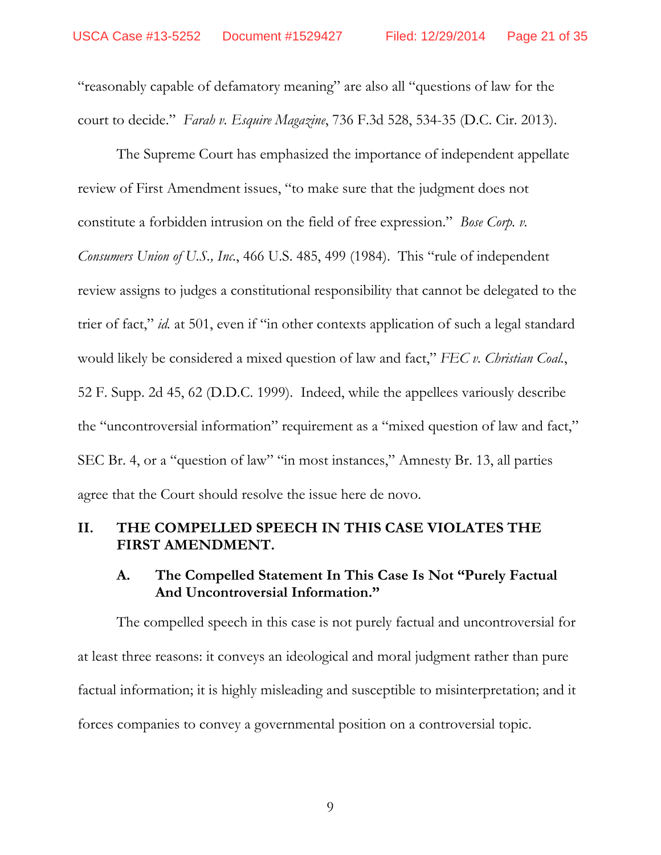"reasonably capable of defamatory meaning" are also all "questions of law for the court to decide." *Farah v. Esquire Magazine*, 736 F.3d 528, 534-35 (D.C. Cir. 2013).

 The Supreme Court has emphasized the importance of independent appellate review of First Amendment issues, "to make sure that the judgment does not constitute a forbidden intrusion on the field of free expression." *Bose Corp. v. Consumers Union of U.S., Inc.*, 466 U.S. 485, 499 (1984). This "rule of independent review assigns to judges a constitutional responsibility that cannot be delegated to the trier of fact," *id.* at 501, even if "in other contexts application of such a legal standard would likely be considered a mixed question of law and fact," *FEC v. Christian Coal.*, 52 F. Supp. 2d 45, 62 (D.D.C. 1999). Indeed, while the appellees variously describe the "uncontroversial information" requirement as a "mixed question of law and fact," SEC Br. 4, or a "question of law" "in most instances," Amnesty Br. 13, all parties agree that the Court should resolve the issue here de novo.

### **II. THE COMPELLED SPEECH IN THIS CASE VIOLATES THE FIRST AMENDMENT.**

#### **A. The Compelled Statement In This Case Is Not "Purely Factual And Uncontroversial Information."**

The compelled speech in this case is not purely factual and uncontroversial for at least three reasons: it conveys an ideological and moral judgment rather than pure factual information; it is highly misleading and susceptible to misinterpretation; and it forces companies to convey a governmental position on a controversial topic.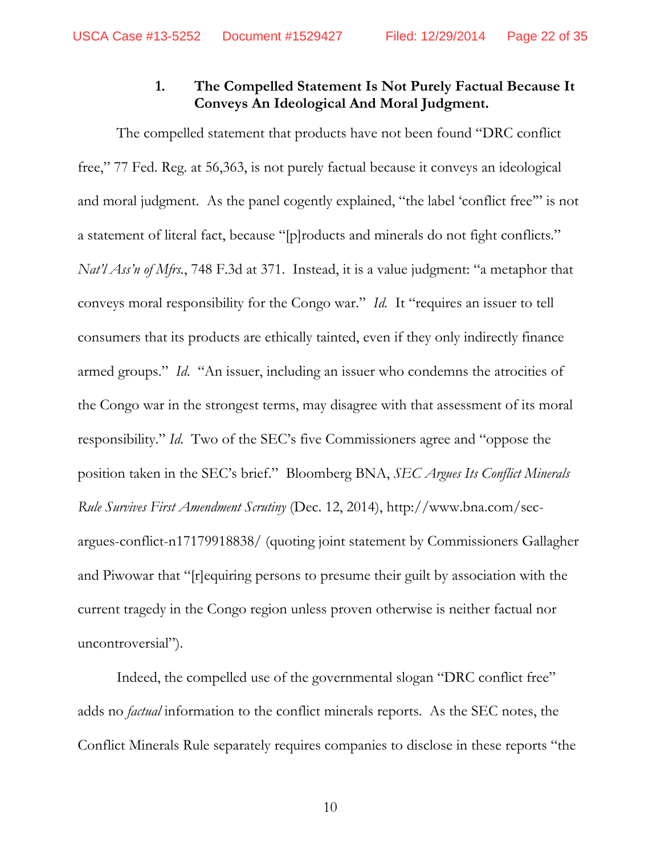## **1. The Compelled Statement Is Not Purely Factual Because It Conveys An Ideological And Moral Judgment.**

The compelled statement that products have not been found "DRC conflict free," 77 Fed. Reg. at 56,363, is not purely factual because it conveys an ideological and moral judgment. As the panel cogently explained, "the label 'conflict free'" is not a statement of literal fact, because "[p]roducts and minerals do not fight conflicts." *Nat'l Ass'n of Mfrs.*, 748 F.3d at 371. Instead, it is a value judgment: "a metaphor that conveys moral responsibility for the Congo war." *Id.* It "requires an issuer to tell consumers that its products are ethically tainted, even if they only indirectly finance armed groups." *Id*. "An issuer, including an issuer who condemns the atrocities of the Congo war in the strongest terms, may disagree with that assessment of its moral responsibility." *Id*. Two of the SEC's five Commissioners agree and "oppose the position taken in the SEC's brief." Bloomberg BNA, *SEC Argues Its Conflict Minerals Rule Survives First Amendment Scrutiny* (Dec. 12, 2014), http://www.bna.com/secargues-conflict-n17179918838/ (quoting joint statement by Commissioners Gallagher and Piwowar that "[r]equiring persons to presume their guilt by association with the current tragedy in the Congo region unless proven otherwise is neither factual nor uncontroversial").

Indeed, the compelled use of the governmental slogan "DRC conflict free" adds no *factual* information to the conflict minerals reports. As the SEC notes, the Conflict Minerals Rule separately requires companies to disclose in these reports "the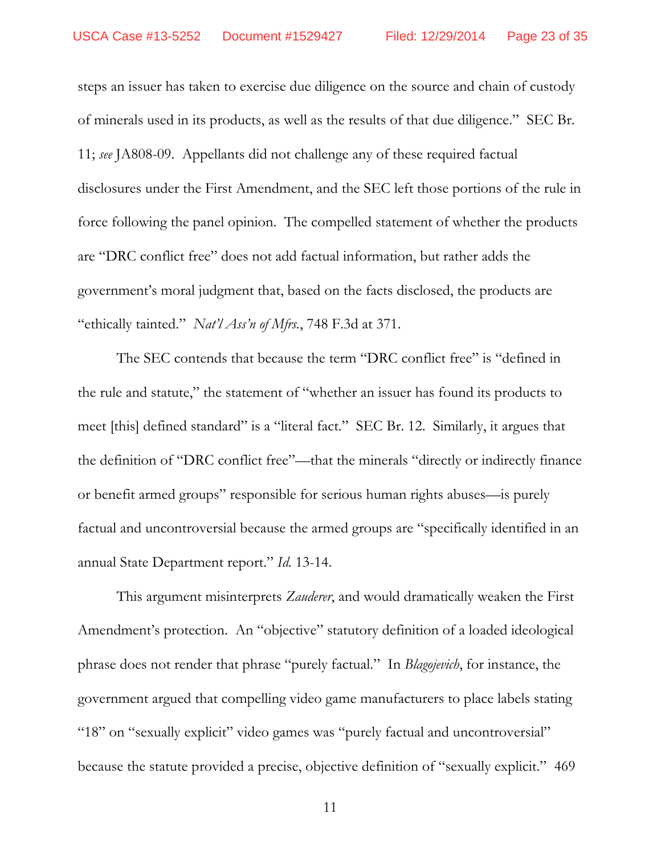steps an issuer has taken to exercise due diligence on the source and chain of custody of minerals used in its products, as well as the results of that due diligence." SEC Br. 11; *see* JA808-09. Appellants did not challenge any of these required factual disclosures under the First Amendment, and the SEC left those portions of the rule in force following the panel opinion. The compelled statement of whether the products are "DRC conflict free" does not add factual information, but rather adds the government's moral judgment that, based on the facts disclosed, the products are "ethically tainted." *Nat'l Ass'n of Mfrs.*, 748 F.3d at 371.

The SEC contends that because the term "DRC conflict free" is "defined in the rule and statute," the statement of "whether an issuer has found its products to meet [this] defined standard" is a "literal fact." SEC Br. 12. Similarly, it argues that the definition of "DRC conflict free"—that the minerals "directly or indirectly finance or benefit armed groups" responsible for serious human rights abuses—is purely factual and uncontroversial because the armed groups are "specifically identified in an annual State Department report." *Id.* 13-14.

This argument misinterprets *Zauderer*, and would dramatically weaken the First Amendment's protection. An "objective" statutory definition of a loaded ideological phrase does not render that phrase "purely factual." In *Blagojevich*, for instance, the government argued that compelling video game manufacturers to place labels stating "18" on "sexually explicit" video games was "purely factual and uncontroversial" because the statute provided a precise, objective definition of "sexually explicit." 469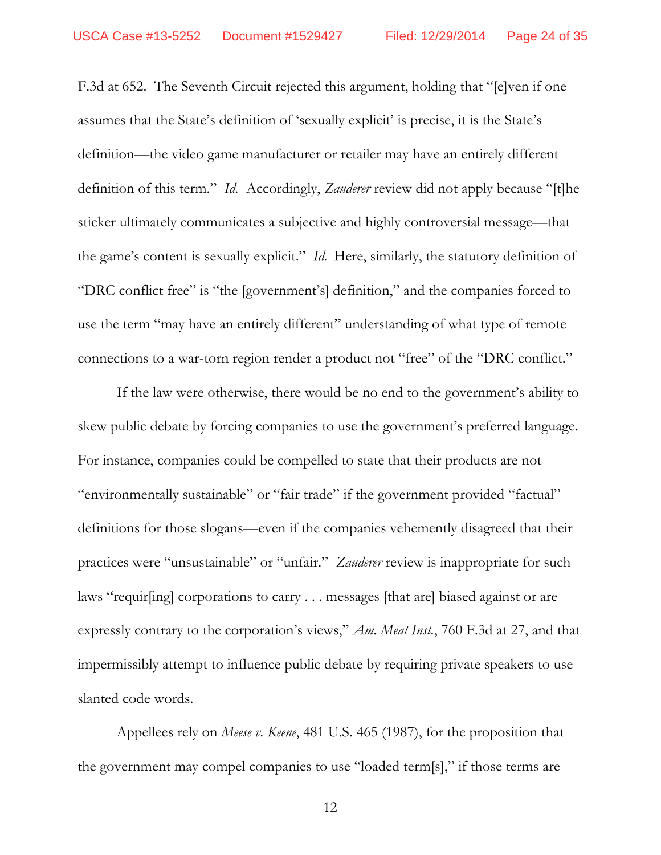F.3d at 652. The Seventh Circuit rejected this argument, holding that "[e]ven if one assumes that the State's definition of 'sexually explicit' is precise, it is the State's definition—the video game manufacturer or retailer may have an entirely different definition of this term." *Id.* Accordingly, *Zauderer* review did not apply because "[t]he sticker ultimately communicates a subjective and highly controversial message—that the game's content is sexually explicit." *Id.* Here, similarly, the statutory definition of "DRC conflict free" is "the [government's] definition," and the companies forced to use the term "may have an entirely different" understanding of what type of remote connections to a war-torn region render a product not "free" of the "DRC conflict."

If the law were otherwise, there would be no end to the government's ability to skew public debate by forcing companies to use the government's preferred language. For instance, companies could be compelled to state that their products are not "environmentally sustainable" or "fair trade" if the government provided "factual" definitions for those slogans—even if the companies vehemently disagreed that their practices were "unsustainable" or "unfair." *Zauderer* review is inappropriate for such laws "requir[ing] corporations to carry . . . messages [that are] biased against or are expressly contrary to the corporation's views," *Am. Meat Inst.*, 760 F.3d at 27, and that impermissibly attempt to influence public debate by requiring private speakers to use slanted code words.

Appellees rely on *Meese v. Keene*, 481 U.S. 465 (1987), for the proposition that the government may compel companies to use "loaded term[s]," if those terms are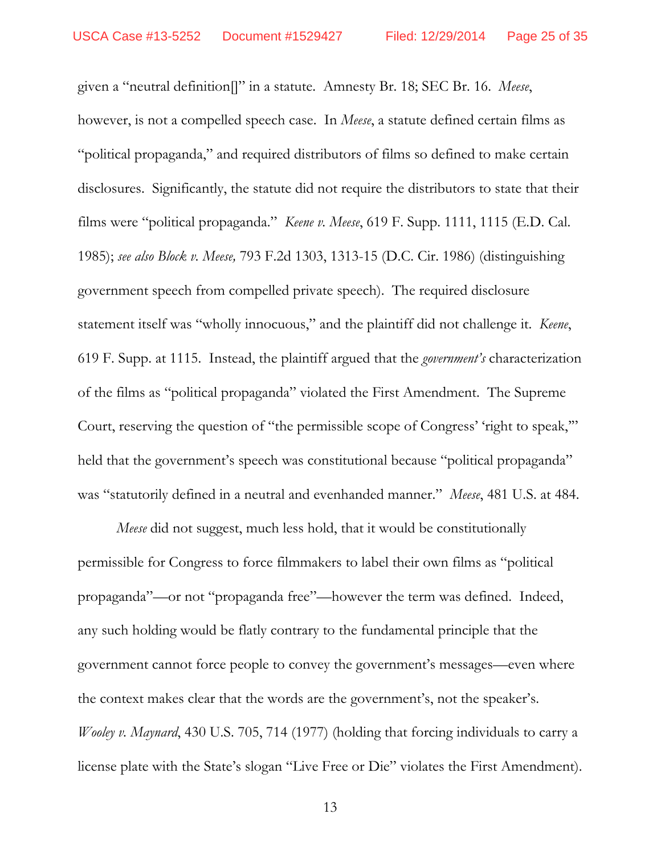given a "neutral definition[]" in a statute. Amnesty Br. 18; SEC Br. 16. *Meese*, however, is not a compelled speech case. In *Meese*, a statute defined certain films as "political propaganda," and required distributors of films so defined to make certain disclosures. Significantly, the statute did not require the distributors to state that their films were "political propaganda." *Keene v. Meese*, 619 F. Supp. 1111, 1115 (E.D. Cal. 1985); *see also Block v. Meese,* 793 F.2d 1303, 1313-15 (D.C. Cir. 1986) (distinguishing government speech from compelled private speech). The required disclosure statement itself was "wholly innocuous," and the plaintiff did not challenge it. *Keene*, 619 F. Supp. at 1115. Instead, the plaintiff argued that the *government's* characterization of the films as "political propaganda" violated the First Amendment. The Supreme Court, reserving the question of "the permissible scope of Congress' 'right to speak," held that the government's speech was constitutional because "political propaganda" was "statutorily defined in a neutral and evenhanded manner." *Meese*, 481 U.S. at 484.

*Meese* did not suggest, much less hold, that it would be constitutionally permissible for Congress to force filmmakers to label their own films as "political propaganda"—or not "propaganda free"—however the term was defined. Indeed, any such holding would be flatly contrary to the fundamental principle that the government cannot force people to convey the government's messages—even where the context makes clear that the words are the government's, not the speaker's. *Wooley v. Maynard*, 430 U.S. 705, 714 (1977) (holding that forcing individuals to carry a license plate with the State's slogan "Live Free or Die" violates the First Amendment).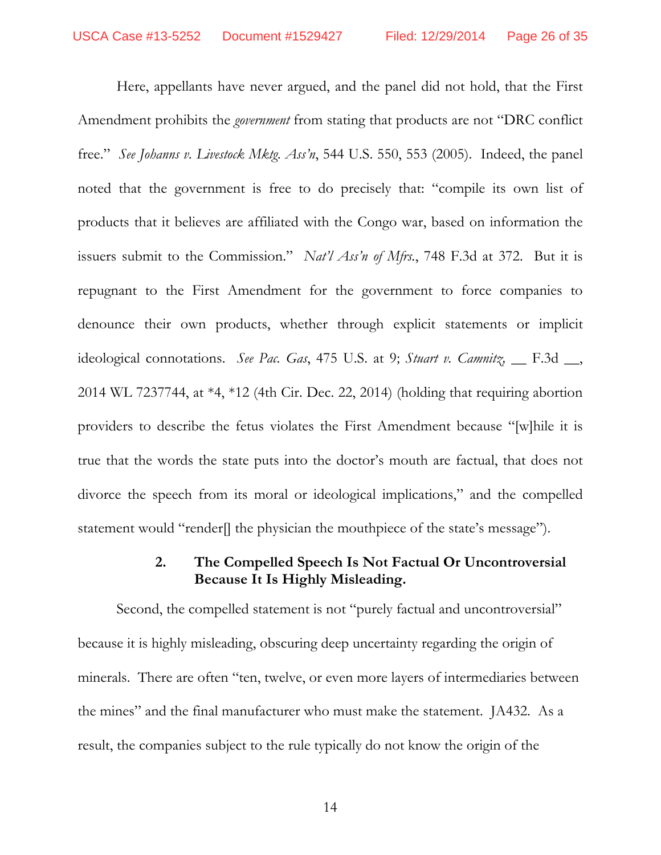Here, appellants have never argued, and the panel did not hold, that the First Amendment prohibits the *government* from stating that products are not "DRC conflict free." *See Johanns v. Livestock Mktg. Ass'n*, 544 U.S. 550, 553 (2005). Indeed, the panel noted that the government is free to do precisely that: "compile its own list of products that it believes are affiliated with the Congo war, based on information the issuers submit to the Commission." *Nat'l Ass'n of Mfrs.*, 748 F.3d at 372. But it is repugnant to the First Amendment for the government to force companies to denounce their own products, whether through explicit statements or implicit ideological connotations. *See Pac. Gas*, 475 U.S. at 9; *Stuart v. Camnitz*, *\_\_ F.3d \_\_*, 2014 WL 7237744, at \*4, \*12 (4th Cir. Dec. 22, 2014) (holding that requiring abortion providers to describe the fetus violates the First Amendment because "[w]hile it is true that the words the state puts into the doctor's mouth are factual, that does not divorce the speech from its moral or ideological implications," and the compelled statement would "render]] the physician the mouthpiece of the state's message").

#### **2. The Compelled Speech Is Not Factual Or Uncontroversial Because It Is Highly Misleading.**

 Second, the compelled statement is not "purely factual and uncontroversial" because it is highly misleading, obscuring deep uncertainty regarding the origin of minerals. There are often "ten, twelve, or even more layers of intermediaries between the mines" and the final manufacturer who must make the statement. JA432. As a result, the companies subject to the rule typically do not know the origin of the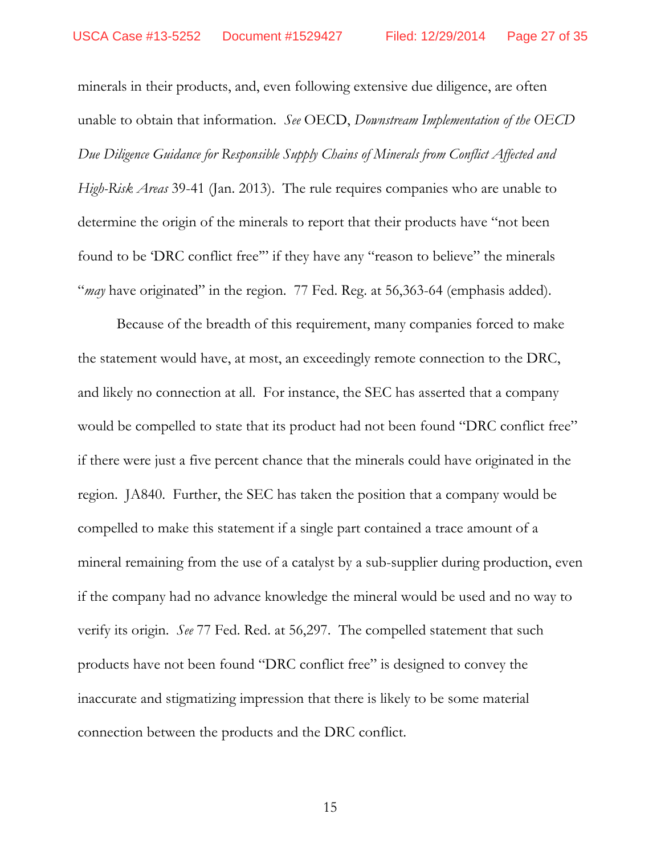minerals in their products, and, even following extensive due diligence, are often unable to obtain that information. *See* OECD, *Downstream Implementation of the OECD Due Diligence Guidance for Responsible Supply Chains of Minerals from Conflict Affected and High-Risk Areas* 39-41 (Jan. 2013). The rule requires companies who are unable to determine the origin of the minerals to report that their products have "not been found to be 'DRC conflict free'" if they have any "reason to believe" the minerals "*may* have originated" in the region. 77 Fed. Reg. at 56,363-64 (emphasis added).

 Because of the breadth of this requirement, many companies forced to make the statement would have, at most, an exceedingly remote connection to the DRC, and likely no connection at all. For instance, the SEC has asserted that a company would be compelled to state that its product had not been found "DRC conflict free" if there were just a five percent chance that the minerals could have originated in the region. JA840. Further, the SEC has taken the position that a company would be compelled to make this statement if a single part contained a trace amount of a mineral remaining from the use of a catalyst by a sub-supplier during production, even if the company had no advance knowledge the mineral would be used and no way to verify its origin. *See* 77 Fed. Red. at 56,297. The compelled statement that such products have not been found "DRC conflict free" is designed to convey the inaccurate and stigmatizing impression that there is likely to be some material connection between the products and the DRC conflict.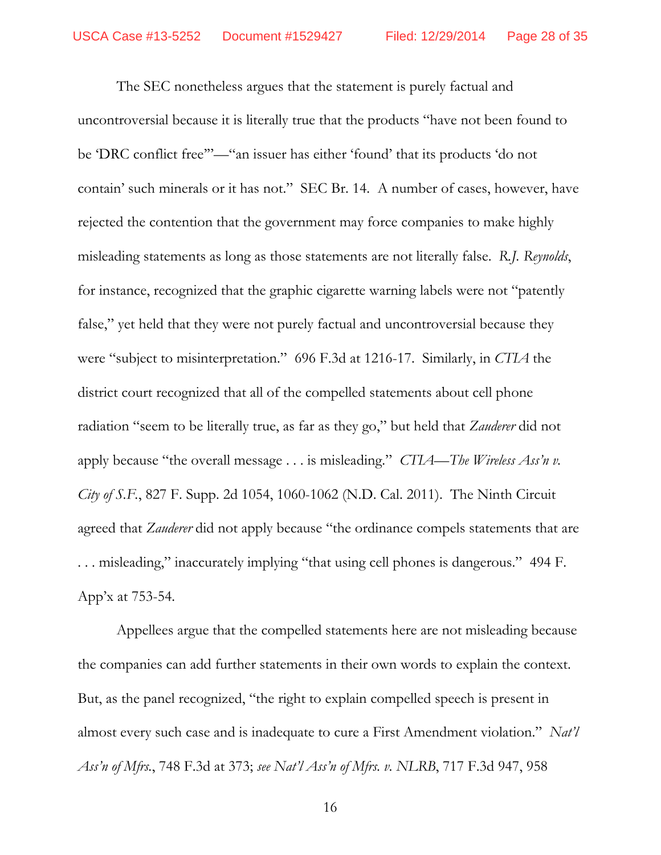The SEC nonetheless argues that the statement is purely factual and uncontroversial because it is literally true that the products "have not been found to be 'DRC conflict free'"—"an issuer has either 'found' that its products 'do not contain' such minerals or it has not." SEC Br. 14. A number of cases, however, have rejected the contention that the government may force companies to make highly misleading statements as long as those statements are not literally false. *R.J. Reynolds*, for instance, recognized that the graphic cigarette warning labels were not "patently false," yet held that they were not purely factual and uncontroversial because they were "subject to misinterpretation." 696 F.3d at 1216-17. Similarly, in *CTIA* the district court recognized that all of the compelled statements about cell phone radiation "seem to be literally true, as far as they go," but held that *Zauderer* did not apply because "the overall message . . . is misleading." *CTIA—The Wireless Ass'n v. City of S.F.*, 827 F. Supp. 2d 1054, 1060-1062 (N.D. Cal. 2011). The Ninth Circuit agreed that *Zauderer* did not apply because "the ordinance compels statements that are . . . misleading," inaccurately implying "that using cell phones is dangerous." 494 F. App'x at 753-54.

Appellees argue that the compelled statements here are not misleading because the companies can add further statements in their own words to explain the context. But, as the panel recognized, "the right to explain compelled speech is present in almost every such case and is inadequate to cure a First Amendment violation." *Nat'l Ass'n of Mfrs.*, 748 F.3d at 373; *see Nat'l Ass'n of Mfrs. v. NLRB*, 717 F.3d 947, 958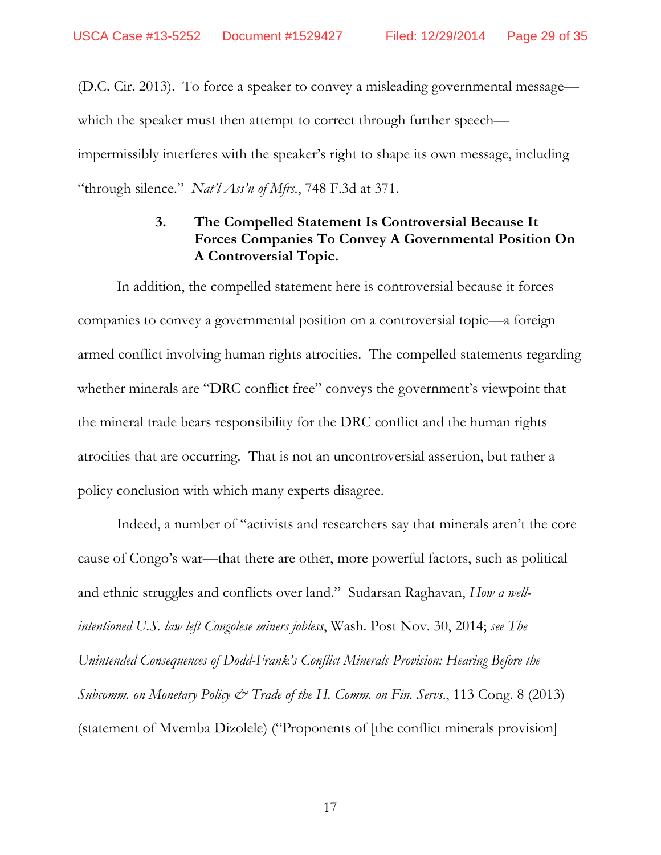(D.C. Cir. 2013). To force a speaker to convey a misleading governmental message which the speaker must then attempt to correct through further speech impermissibly interferes with the speaker's right to shape its own message, including "through silence." *Nat'l Ass'n of Mfrs.*, 748 F.3d at 371.

## **3. The Compelled Statement Is Controversial Because It Forces Companies To Convey A Governmental Position On A Controversial Topic.**

 In addition, the compelled statement here is controversial because it forces companies to convey a governmental position on a controversial topic—a foreign armed conflict involving human rights atrocities. The compelled statements regarding whether minerals are "DRC conflict free" conveys the government's viewpoint that the mineral trade bears responsibility for the DRC conflict and the human rights atrocities that are occurring. That is not an uncontroversial assertion, but rather a policy conclusion with which many experts disagree.

 Indeed, a number of "activists and researchers say that minerals aren't the core cause of Congo's war—that there are other, more powerful factors, such as political and ethnic struggles and conflicts over land." Sudarsan Raghavan, *How a wellintentioned U.S. law left Congolese miners jobless*, Wash. Post Nov. 30, 2014; *see The Unintended Consequences of Dodd-Frank's Conflict Minerals Provision: Hearing Before the Subcomm. on Monetary Policy & Trade of the H. Comm. on Fin. Servs*., 113 Cong. 8 (2013) (statement of Mvemba Dizolele) ("Proponents of [the conflict minerals provision]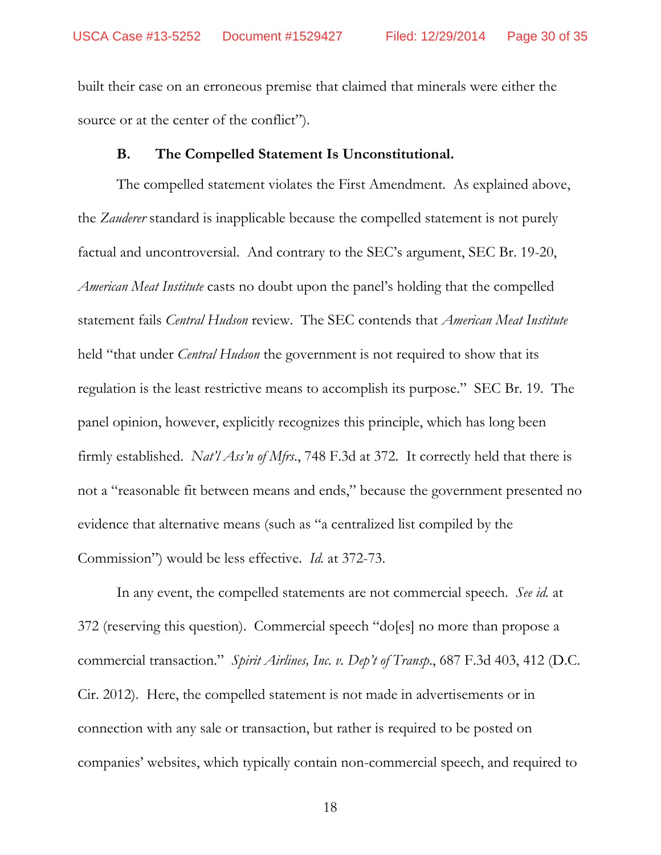built their case on an erroneous premise that claimed that minerals were either the source or at the center of the conflict").

#### **B. The Compelled Statement Is Unconstitutional.**

 The compelled statement violates the First Amendment. As explained above, the *Zauderer* standard is inapplicable because the compelled statement is not purely factual and uncontroversial. And contrary to the SEC's argument, SEC Br. 19-20, *American Meat Institute* casts no doubt upon the panel's holding that the compelled statement fails *Central Hudson* review. The SEC contends that *American Meat Institute* held "that under *Central Hudson* the government is not required to show that its regulation is the least restrictive means to accomplish its purpose." SEC Br. 19. The panel opinion, however, explicitly recognizes this principle, which has long been firmly established. *Nat'l Ass'n of Mfrs*., 748 F.3d at 372. It correctly held that there is not a "reasonable fit between means and ends," because the government presented no evidence that alternative means (such as "a centralized list compiled by the Commission") would be less effective. *Id.* at 372-73.

 In any event, the compelled statements are not commercial speech. *See id.* at 372 (reserving this question). Commercial speech "do[es] no more than propose a commercial transaction." *Spirit Airlines, Inc. v. Dep't of Transp*., 687 F.3d 403, 412 (D.C. Cir. 2012). Here, the compelled statement is not made in advertisements or in connection with any sale or transaction, but rather is required to be posted on companies' websites, which typically contain non-commercial speech, and required to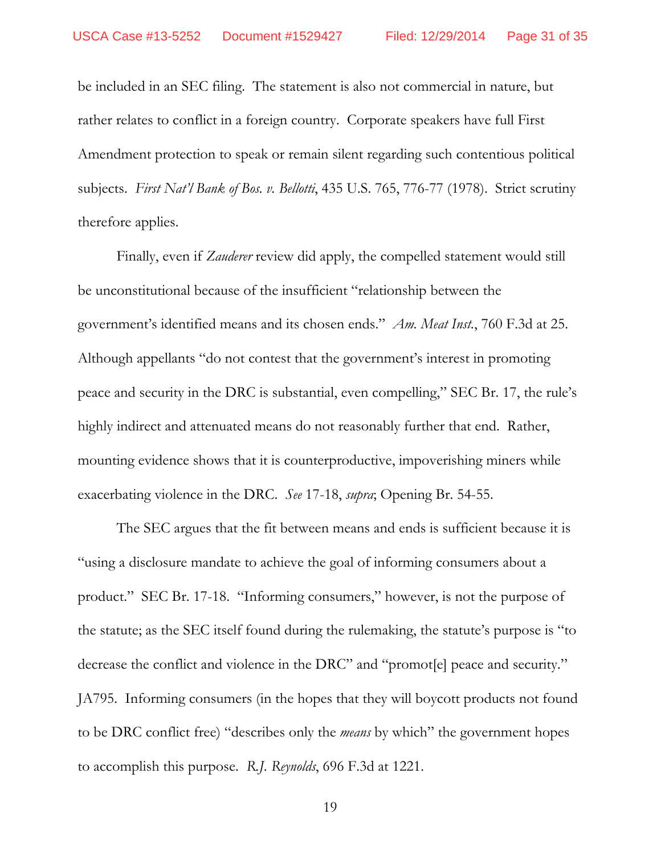be included in an SEC filing. The statement is also not commercial in nature, but rather relates to conflict in a foreign country. Corporate speakers have full First Amendment protection to speak or remain silent regarding such contentious political subjects. *First Nat'l Bank of Bos. v. Bellotti*, 435 U.S. 765, 776-77 (1978). Strict scrutiny therefore applies.

 Finally, even if *Zauderer* review did apply, the compelled statement would still be unconstitutional because of the insufficient "relationship between the government's identified means and its chosen ends." *Am. Meat Inst.*, 760 F.3d at 25. Although appellants "do not contest that the government's interest in promoting peace and security in the DRC is substantial, even compelling," SEC Br. 17, the rule's highly indirect and attenuated means do not reasonably further that end. Rather, mounting evidence shows that it is counterproductive, impoverishing miners while exacerbating violence in the DRC. *See* 17-18, *supra*; Opening Br. 54-55.

 The SEC argues that the fit between means and ends is sufficient because it is "using a disclosure mandate to achieve the goal of informing consumers about a product." SEC Br. 17-18. "Informing consumers," however, is not the purpose of the statute; as the SEC itself found during the rulemaking, the statute's purpose is "to decrease the conflict and violence in the DRC" and "promot[e] peace and security." JA795. Informing consumers (in the hopes that they will boycott products not found to be DRC conflict free) "describes only the *means* by which" the government hopes to accomplish this purpose. *R.J. Reynolds*, 696 F.3d at 1221.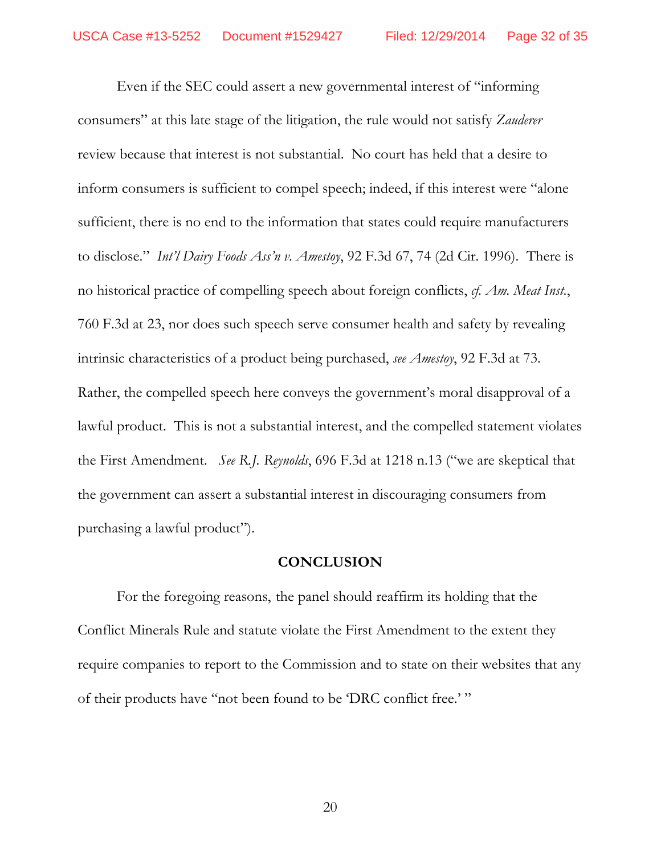Even if the SEC could assert a new governmental interest of "informing consumers" at this late stage of the litigation, the rule would not satisfy *Zauderer* review because that interest is not substantial. No court has held that a desire to inform consumers is sufficient to compel speech; indeed, if this interest were "alone sufficient, there is no end to the information that states could require manufacturers to disclose." *Int'l Dairy Foods Ass'n v. Amestoy*, 92 F.3d 67, 74 (2d Cir. 1996). There is no historical practice of compelling speech about foreign conflicts, *cf. Am. Meat Inst.*, 760 F.3d at 23, nor does such speech serve consumer health and safety by revealing intrinsic characteristics of a product being purchased, *see Amestoy*, 92 F.3d at 73. Rather, the compelled speech here conveys the government's moral disapproval of a lawful product. This is not a substantial interest, and the compelled statement violates the First Amendment. *See R.J. Reynolds*, 696 F.3d at 1218 n.13 ("we are skeptical that the government can assert a substantial interest in discouraging consumers from purchasing a lawful product").

#### **CONCLUSION**

For the foregoing reasons, the panel should reaffirm its holding that the Conflict Minerals Rule and statute violate the First Amendment to the extent they require companies to report to the Commission and to state on their websites that any of their products have "not been found to be 'DRC conflict free.' "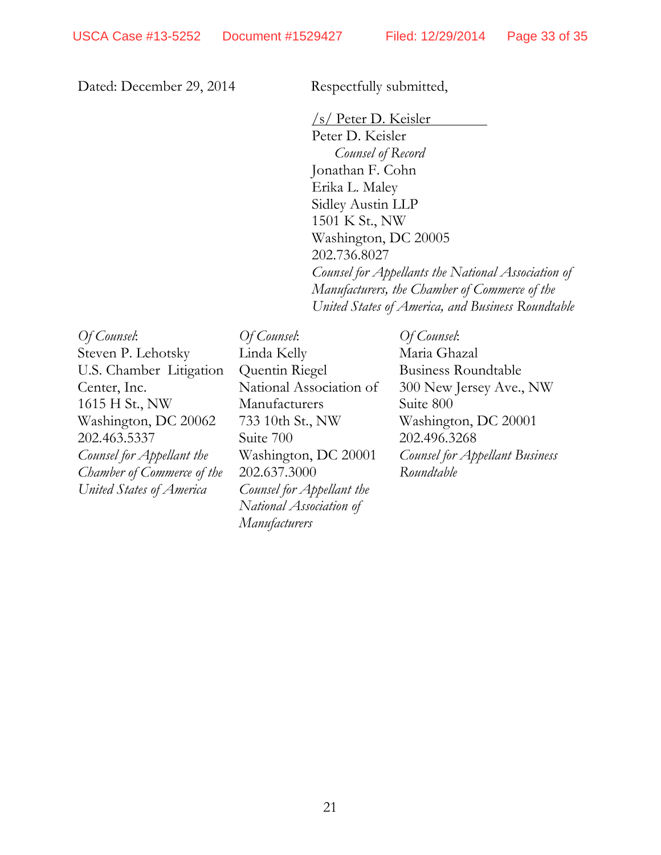Dated: December 29, 2014 Respectfully submitted,

/s/ Peter D. Keisler Peter D. Keisler *Counsel of Record*  Jonathan F. Cohn Erika L. Maley Sidley Austin LLP 1501 K St., NW Washington, DC 20005 202.736.8027 *Counsel for Appellants the National Association of Manufacturers, the Chamber of Commerce of the United States of America, and Business Roundtable*

*Of Counsel*: Steven P. Lehotsky U.S. Chamber Litigation Center, Inc. 1615 H St., NW Washington, DC 20062 202.463.5337 *Counsel for Appellant the Chamber of Commerce of the United States of America* 

*Of Counsel*: Linda Kelly Quentin Riegel National Association of Manufacturers 733 10th St., NW Suite 700 Washington, DC 20001 202.637.3000 *Counsel for Appellant the National Association of Manufacturers*

*Of Counsel*: Maria Ghazal Business Roundtable 300 New Jersey Ave., NW Suite 800 Washington, DC 20001 202.496.3268 *Counsel for Appellant Business Roundtable*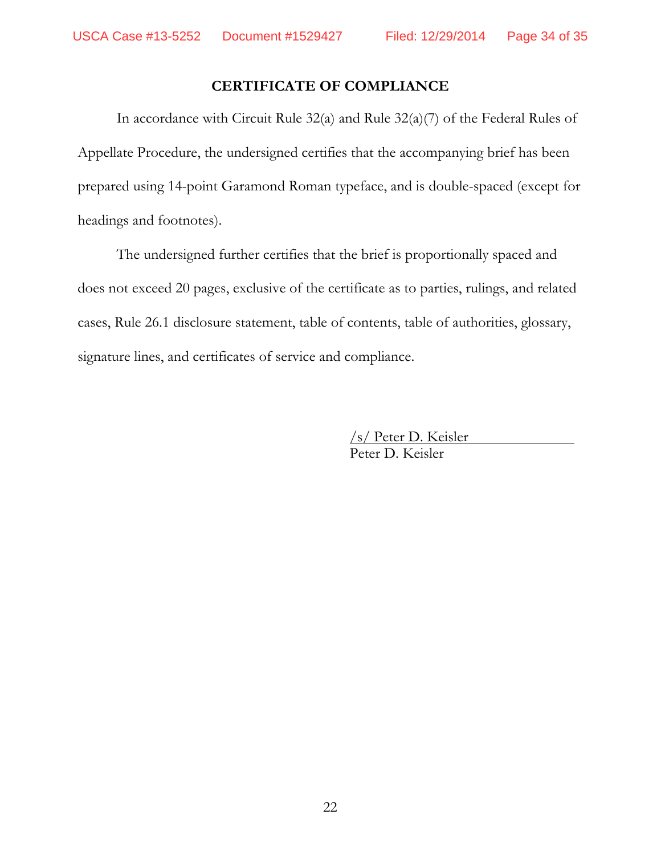## **CERTIFICATE OF COMPLIANCE**

In accordance with Circuit Rule 32(a) and Rule 32(a)(7) of the Federal Rules of Appellate Procedure, the undersigned certifies that the accompanying brief has been prepared using 14-point Garamond Roman typeface, and is double-spaced (except for headings and footnotes).

The undersigned further certifies that the brief is proportionally spaced and does not exceed 20 pages, exclusive of the certificate as to parties, rulings, and related cases, Rule 26.1 disclosure statement, table of contents, table of authorities, glossary, signature lines, and certificates of service and compliance.

> /s/ Peter D. Keisler Peter D. Keisler